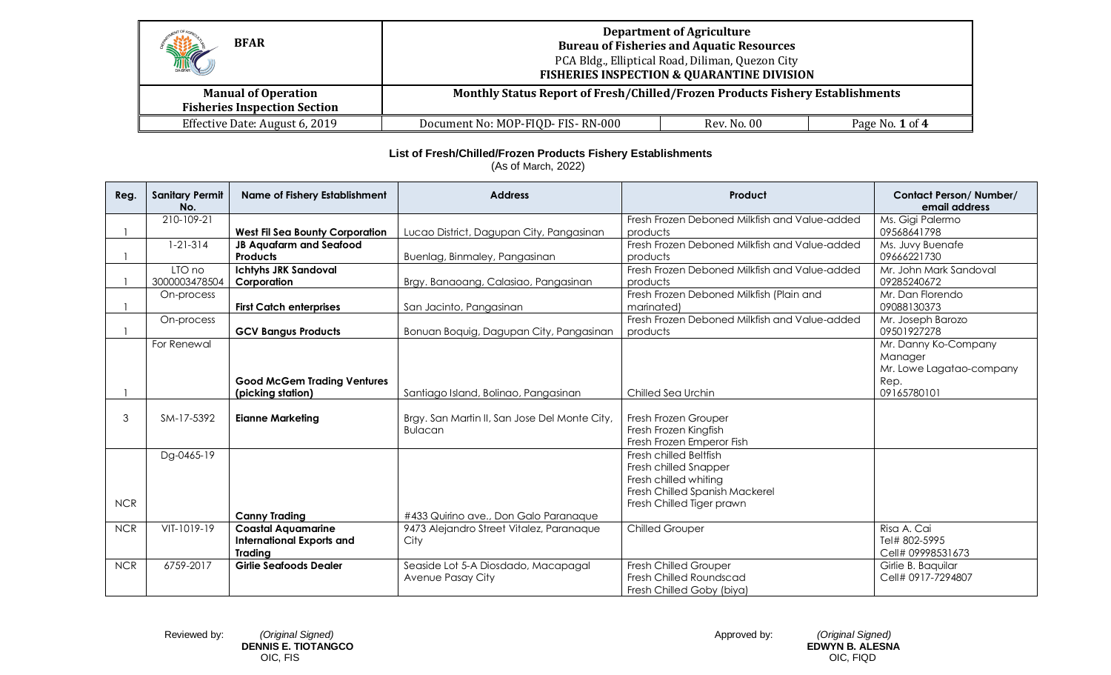| HITCH<br><b>BFAR</b>                                              | <b>Department of Agriculture</b><br><b>Bureau of Fisheries and Aquatic Resources</b><br>PCA Bldg., Elliptical Road, Diliman, Quezon City<br><b>FISHERIES INSPECTION &amp; QUARANTINE DIVISION</b> |             |                 |
|-------------------------------------------------------------------|---------------------------------------------------------------------------------------------------------------------------------------------------------------------------------------------------|-------------|-----------------|
| <b>Manual of Operation</b><br><b>Fisheries Inspection Section</b> | Monthly Status Report of Fresh/Chilled/Frozen Products Fishery Establishments                                                                                                                     |             |                 |
| Effective Date: August 6, 2019                                    | Document No: MOP-FIQD- FIS-RN-000                                                                                                                                                                 | Rev. No. 00 | Page No. 1 of 4 |

## **List of Fresh/Chilled/Frozen Products Fishery Establishments**

(As of March, 2022)

| Reg.       | <b>Sanitary Permit</b><br>No. | <b>Name of Fishery Establishment</b>   | <b>Address</b>                                | Product                                       | <b>Contact Person/Number/</b><br>email address |
|------------|-------------------------------|----------------------------------------|-----------------------------------------------|-----------------------------------------------|------------------------------------------------|
|            | 210-109-21                    |                                        |                                               | Fresh Frozen Deboned Milkfish and Value-added | Ms. Gigi Palermo                               |
|            |                               | <b>West Fil Sea Bounty Corporation</b> | Lucao District, Dagupan City, Pangasinan      | products                                      | 09568641798                                    |
|            | $1 - 21 - 314$                | <b>JB Aquafarm and Seafood</b>         |                                               | Fresh Frozen Deboned Milkfish and Value-added | Ms. Juvy Buenafe                               |
|            |                               | <b>Products</b>                        | Buenlag, Binmaley, Pangasinan                 | products                                      | 09666221730                                    |
|            | LTO no                        | <b>Ichtyhs JRK Sandoval</b>            |                                               | Fresh Frozen Deboned Milkfish and Value-added | Mr. John Mark Sandoval                         |
|            | 3000003478504                 | Corporation                            | Brgy. Banaoang, Calasiao, Pangasinan          | products                                      | 09285240672                                    |
|            | On-process                    |                                        |                                               | Fresh Frozen Deboned Milkfish (Plain and      | Mr. Dan Florendo                               |
|            |                               | <b>First Catch enterprises</b>         | San Jacinto, Pangasinan                       | marinated)                                    | 09088130373                                    |
|            | On-process                    |                                        |                                               | Fresh Frozen Deboned Milkfish and Value-added | Mr. Joseph Barozo                              |
|            |                               | <b>GCV Bangus Products</b>             | Bonuan Boquig, Dagupan City, Pangasinan       | products                                      | 09501927278                                    |
|            | For Renewal                   |                                        |                                               |                                               | Mr. Danny Ko-Company                           |
|            |                               |                                        |                                               |                                               | Manager                                        |
|            |                               |                                        |                                               |                                               | Mr. Lowe Lagatao-company                       |
|            |                               | <b>Good McGem Trading Ventures</b>     |                                               |                                               | Rep.                                           |
|            |                               | (picking station)                      | Santiago Island, Bolinao, Pangasinan          | Chilled Sea Urchin                            | 09165780101                                    |
| 3          | SM-17-5392                    | <b>Eianne Marketing</b>                | Brgy. San Martin II, San Jose Del Monte City, | Fresh Frozen Grouper                          |                                                |
|            |                               |                                        | <b>Bulacan</b>                                | Fresh Frozen Kingfish                         |                                                |
|            |                               |                                        |                                               | Fresh Frozen Emperor Fish                     |                                                |
|            | Dg-0465-19                    |                                        |                                               | Fresh chilled Beltfish                        |                                                |
|            |                               |                                        |                                               | Fresh chilled Snapper                         |                                                |
|            |                               |                                        |                                               | Fresh chilled whiting                         |                                                |
|            |                               |                                        |                                               | Fresh Chilled Spanish Mackerel                |                                                |
| <b>NCR</b> |                               |                                        |                                               | Fresh Chilled Tiger prawn                     |                                                |
|            |                               | <b>Canny Trading</b>                   | #433 Quirino ave., Don Galo Paranaque         |                                               |                                                |
| <b>NCR</b> | VIT-1019-19                   | <b>Coastal Aquamarine</b>              | 9473 Alejandro Street Vitalez, Paranaque      | <b>Chilled Grouper</b>                        | Risa A. Cai                                    |
|            |                               | <b>International Exports and</b>       | City                                          |                                               | Tel# 802-5995                                  |
|            |                               | Trading                                |                                               |                                               | Cell# 09998531673                              |
| <b>NCR</b> | 6759-2017                     | <b>Girlie Seafoods Dealer</b>          | Seaside Lot 5-A Diosdado, Macapagal           | Fresh Chilled Grouper                         | Girlie B. Baquilar                             |
|            |                               |                                        | Avenue Pasay City                             | Fresh Chilled Roundscad                       | Cell# 0917-7294807                             |
|            |                               |                                        |                                               | Fresh Chilled Goby (biya)                     |                                                |